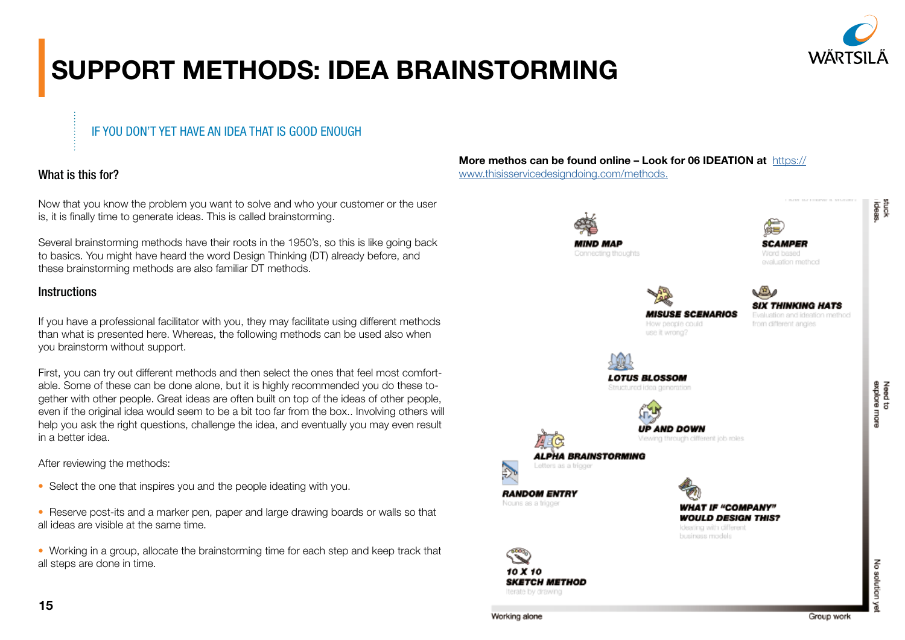

# SUPPORT METHODS: IDEA BRAINSTORMING

# IF YOU DON'T YET HAVE AN IDEA THAT IS GOOD ENOUGH

## What is this for?

Now that you know the problem you want to solve and who your customer or the user is, it is finally time to generate ideas. This is called brainstorming.

Several brainstorming methods have their roots in the 1950's, so this is like going back to basics. You might have heard the word Design Thinking (DT) already before, and these brainstorming methods are also familiar DT methods.

#### **Instructions**

If you have a professional facilitator with you, they may facilitate using different methods than what is presented here. Whereas, the following methods can be used also when you brainstorm without support.

First, you can try out different methods and then select the ones that feel most comfortable. Some of these can be done alone, but it is highly recommended you do these together with other people. Great ideas are often built on top of the ideas of other people, even if the original idea would seem to be a bit too far from the box.. Involving others will help you ask the right questions, challenge the idea, and eventually you may even result in a better idea.

After reviewing the methods:

- Select the one that inspires you and the people ideating with you.
- Reserve post-its and a marker pen, paper and large drawing boards or walls so that all ideas are visible at the same time.
- Working in a group, allocate the brainstorming time for each step and keep track that all steps are done in time.

#### More methos can be found online – Look for 06 IDEATION at [https://](https://www.thisisservicedesigndoing.com/methods) [www.thisisservicedesigndoing.com/methods.](https://www.thisisservicedesigndoing.com/methods)

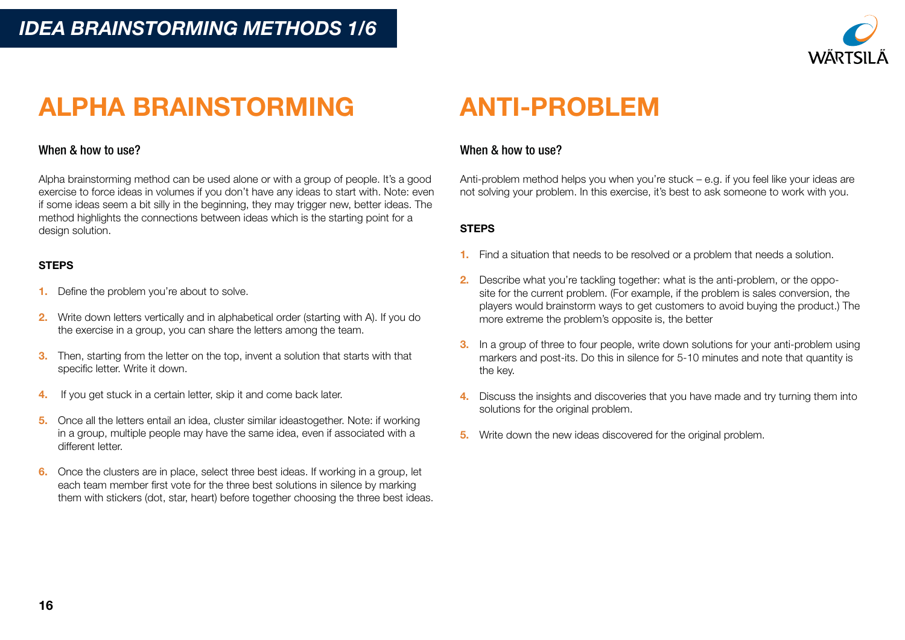

# ALPHA BRAINSTORMING ANTI-PROBLEM

## When & how to use?

Alpha brainstorming method can be used alone or with a group of people. It's a good exercise to force ideas in volumes if you don't have any ideas to start with. Note: even if some ideas seem a bit silly in the beginning, they may trigger new, better ideas. The method highlights the connections between ideas which is the starting point for a design solution.

#### **STEPS**

- 1. Define the problem you're about to solve.
- 2. Write down letters vertically and in alphabetical order (starting with A). If you do the exercise in a group, you can share the letters among the team.
- **3.** Then, starting from the letter on the top, invent a solution that starts with that specific letter. Write it down.
- 4. If you get stuck in a certain letter, skip it and come back later.
- 5. Once all the letters entail an idea, cluster similar ideastogether. Note: if working in a group, multiple people may have the same idea, even if associated with a different letter.
- 6. Once the clusters are in place, select three best ideas. If working in a group, let each team member first vote for the three best solutions in silence by marking them with stickers (dot, star, heart) before together choosing the three best ideas.

# When & how to use?

Anti-problem method helps you when you're stuck – e.g. if you feel like your ideas are not solving your problem. In this exercise, it's best to ask someone to work with you.

- 1. Find a situation that needs to be resolved or a problem that needs a solution.
- 2. Describe what you're tackling together: what is the anti-problem, or the opposite for the current problem. (For example, if the problem is sales conversion, the players would brainstorm ways to get customers to avoid buying the product.) The more extreme the problem's opposite is, the better
- **3.** In a group of three to four people, write down solutions for your anti-problem using markers and post-its. Do this in silence for 5-10 minutes and note that quantity is the key.
- 4. Discuss the insights and discoveries that you have made and try turning them into solutions for the original problem.
- **5.** Write down the new ideas discovered for the original problem.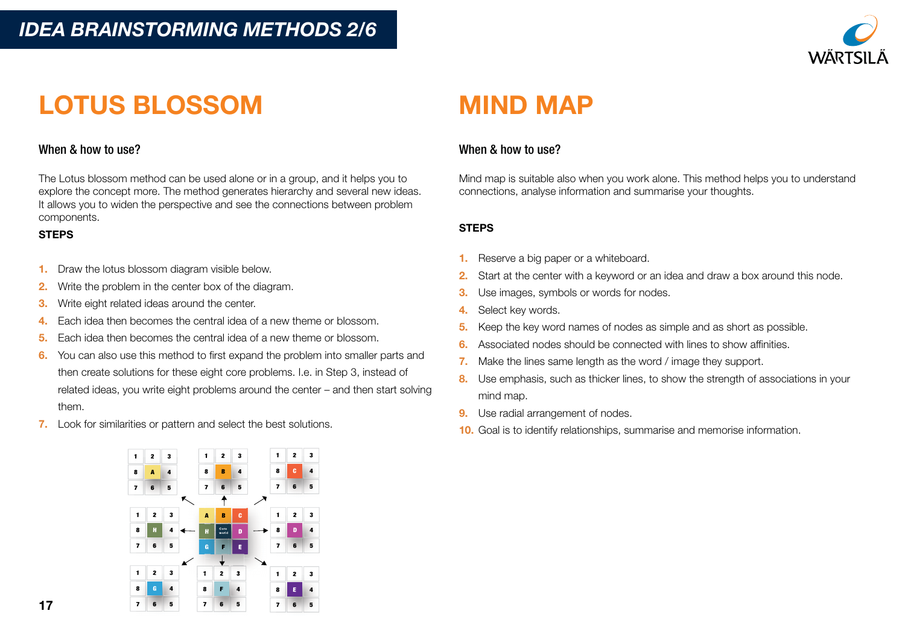

# LOTUS BLOSSOM MIND MAP

# When & how to use?

The Lotus blossom method can be used alone or in a group, and it helps you to explore the concept more. The method generates hierarchy and several new ideas. It allows you to widen the perspective and see the connections between problem components.

### **STEPS**

- 1. Draw the lotus blossom diagram visible below.
- 2. Write the problem in the center box of the diagram.
- **3.** Write eight related ideas around the center.
- 4. Each idea then becomes the central idea of a new theme or blossom.
- 5. Each idea then becomes the central idea of a new theme or blossom.
- 6. You can also use this method to first expand the problem into smaller parts and then create solutions for these eight core problems. I.e. in Step 3, instead of related ideas, you write eight problems around the center – and then start solving them.
- 7. Look for similarities or pattern and select the best solutions.



# When & how to use?

Mind map is suitable also when you work alone. This method helps you to understand connections, analyse information and summarise your thoughts.

- 1. Reserve a big paper or a whiteboard.
- 2. Start at the center with a keyword or an idea and draw a box around this node.
- **3.** Use images, symbols or words for nodes.
- 4. Select key words.
- **5.** Keep the key word names of nodes as simple and as short as possible.
- **6.** Associated nodes should be connected with lines to show affinities.
- 7. Make the lines same length as the word / image they support.
- 8. Use emphasis, such as thicker lines, to show the strength of associations in your mind map.
- **9.** Use radial arrangement of nodes.
- 10. Goal is to identify relationships, summarise and memorise information.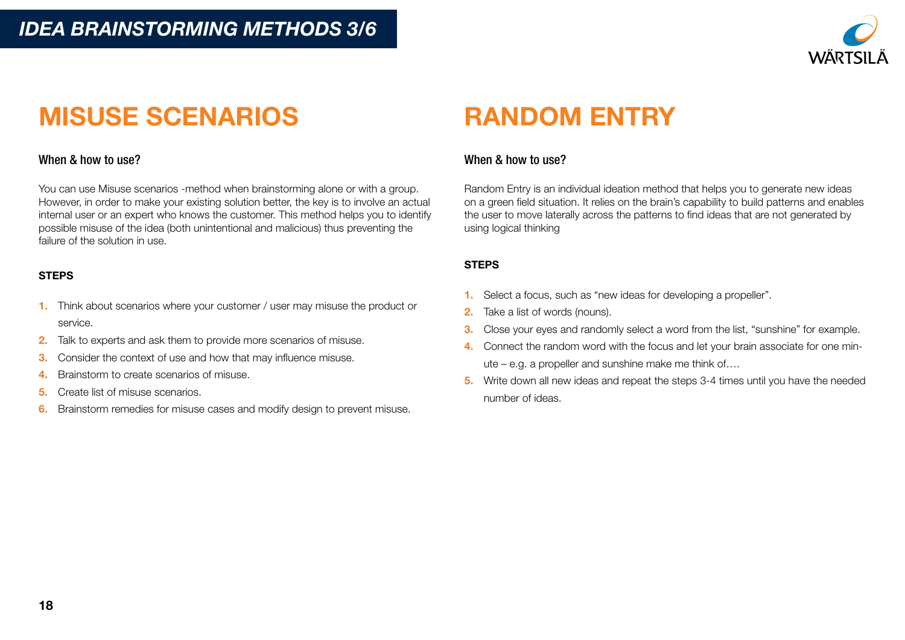

# MISUSE SCENARIOS RANDOM ENTRY

# When & how to use?

You can use Misuse scenarios -method when brainstorming alone or with a group. However, in order to make your existing solution better, the key is to involve an actual internal user or an expert who knows the customer. This method helps you to identify possible misuse of the idea (both unintentional and malicious) thus preventing the failure of the solution in use.

### **STEPS**

- 1. Think about scenarios where your customer / user may misuse the product or service.
- 2. Talk to experts and ask them to provide more scenarios of misuse.
- **3.** Consider the context of use and how that may influence misuse.
- 4. Brainstorm to create scenarios of misuse.
- 5. Create list of misuse scenarios.
- **6.** Brainstorm remedies for misuse cases and modify design to prevent misuse.

# When & how to use?

Random Entry is an individual ideation method that helps you to generate new ideas on a green field situation. It relies on the brain's capability to build patterns and enables the user to move laterally across the patterns to find ideas that are not generated by using logical thinking

- 1. Select a focus, such as "new ideas for developing a propeller".
- 2. Take a list of words (nouns).
- **3.** Close your eyes and randomly select a word from the list, "sunshine" for example.
- 4. Connect the random word with the focus and let your brain associate for one minute – e.g. a propeller and sunshine make me think of….
- 5. Write down all new ideas and repeat the steps 3-4 times until you have the needed number of ideas.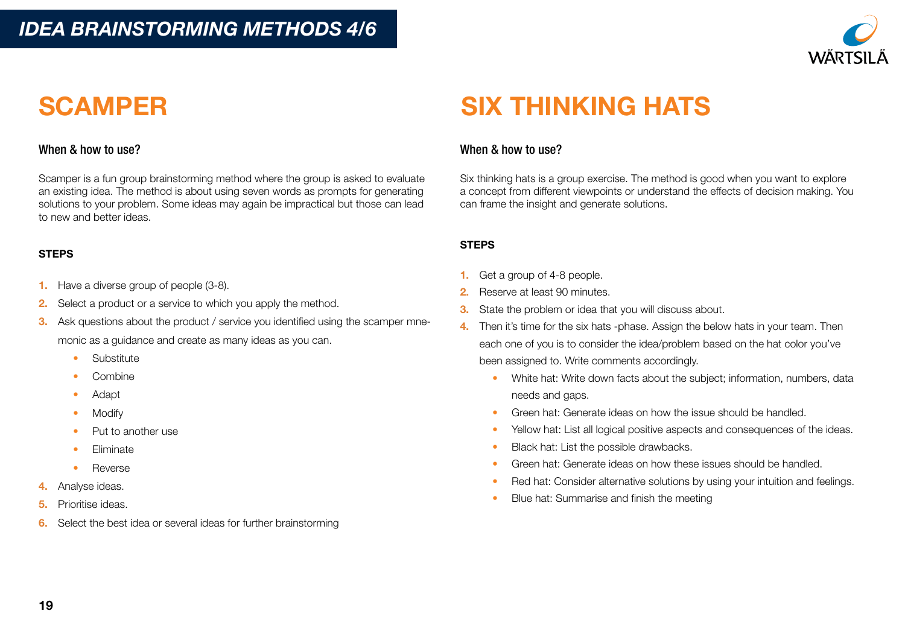

# When & how to use?

Scamper is a fun group brainstorming method where the group is asked to evaluate an existing idea. The method is about using seven words as prompts for generating solutions to your problem. Some ideas may again be impractical but those can lead to new and better ideas.

### **STEPS**

- 1. Have a diverse group of people (3-8).
- 2. Select a product or a service to which you apply the method.
- **3.** Ask questions about the product / service you identified using the scamper mnemonic as a guidance and create as many ideas as you can.
	- Substitute
	- Combine
	- Adapt
	- **Modify**
	- Put to another use
	- Eliminate
	- Reverse
- 4. Analyse ideas.
- 5. Prioritise ideas.
- **6.** Select the best idea or several ideas for further brainstorming

# SCAMPER SIX THINKING HATS

# When & how to use?

Six thinking hats is a group exercise. The method is good when you want to explore a concept from different viewpoints or understand the effects of decision making. You can frame the insight and generate solutions.

- 1. Get a group of 4-8 people.
- 2. Reserve at least 90 minutes.
- **3.** State the problem or idea that you will discuss about.
- 4. Then it's time for the six hats -phase. Assign the below hats in your team. Then each one of you is to consider the idea/problem based on the hat color you've been assigned to. Write comments accordingly.
	- White hat: Write down facts about the subject; information, numbers, data needs and gaps.
	- Green hat: Generate ideas on how the issue should be handled.
	- Yellow hat: List all logical positive aspects and consequences of the ideas.
	- Black hat: List the possible drawbacks.
	- Green hat: Generate ideas on how these issues should be handled.
	- Red hat: Consider alternative solutions by using your intuition and feelings.
	- Blue hat: Summarise and finish the meeting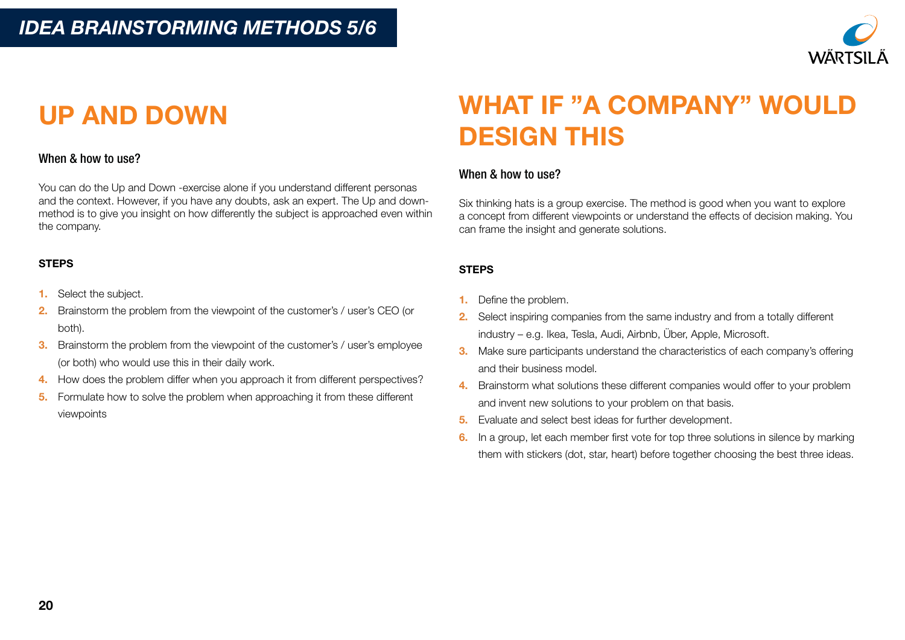

## When & how to use?

You can do the Up and Down -exercise alone if you understand different personas and the context. However, if you have any doubts, ask an expert. The Up and downmethod is to give you insight on how differently the subject is approached even within the company.

### **STEPS**

- 1. Select the subject.
- 2. Brainstorm the problem from the viewpoint of the customer's / user's CEO (or both).
- **3.** Brainstorm the problem from the viewpoint of the customer's / user's employee (or both) who would use this in their daily work.
- 4. How does the problem differ when you approach it from different perspectives?
- **5.** Formulate how to solve the problem when approaching it from these different viewpoints

# UP AND DOWN WHAT IF "A COMPANY" WOULD DESIGN THIS

## When & how to use?

Six thinking hats is a group exercise. The method is good when you want to explore a concept from different viewpoints or understand the effects of decision making. You can frame the insight and generate solutions.

- 1. Define the problem.
- 2. Select inspiring companies from the same industry and from a totally different industry – e.g. Ikea, Tesla, Audi, Airbnb, Über, Apple, Microsoft.
- **3.** Make sure participants understand the characteristics of each company's offering and their business model.
- 4. Brainstorm what solutions these different companies would offer to your problem and invent new solutions to your problem on that basis.
- 5. Evaluate and select best ideas for further development.
- 6. In a group, let each member first vote for top three solutions in silence by marking them with stickers (dot, star, heart) before together choosing the best three ideas.